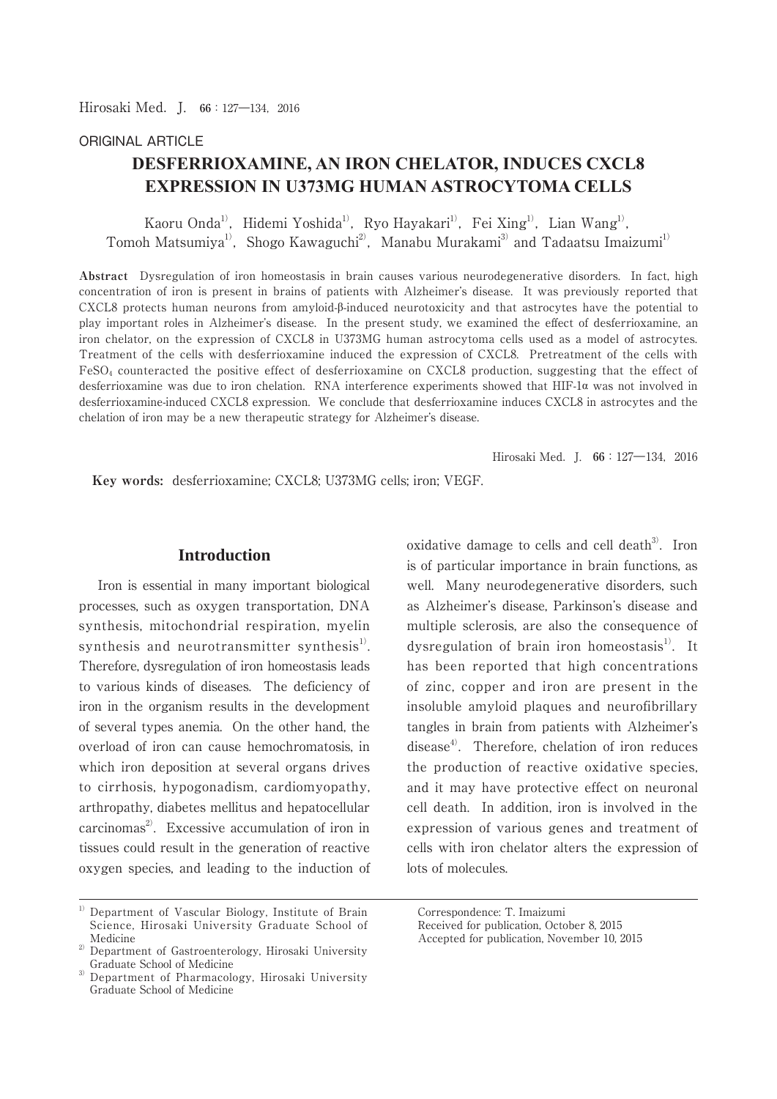## ORIGINAL ARTICLE

# **DESFERRIOXAMINE, AN IRON CHELATOR, INDUCES CXCL8 EXPRESSION IN U373MG HUMAN ASTROCYTOMA CELLS**

Kaoru Onda<sup>1)</sup>, Hidemi Yoshida<sup>1)</sup>, Ryo Hayakari<sup>1)</sup>, Fei Xing<sup>1)</sup>, Lian Wang<sup>1)</sup>, Tomoh Matsumiya<sup>1)</sup>, Shogo Kawaguchi<sup>2)</sup>, Manabu Murakami<sup>3)</sup> and Tadaatsu Imaizumi<sup>1)</sup>

**Abstract** Dysregulation of iron homeostasis in brain causes various neurodegenerative disorders. In fact, high concentration of iron is present in brains of patients with Alzheimer's disease. It was previously reported that CXCL8 protects human neurons from amyloid-β-induced neurotoxicity and that astrocytes have the potential to play important roles in Alzheimer's disease. In the present study, we examined the effect of desferrioxamine, an iron chelator, on the expression of CXCL8 in U373MG human astrocytoma cells used as a model of astrocytes. Treatment of the cells with desferrioxamine induced the expression of CXCL8. Pretreatment of the cells with FeSO4 counteracted the positive effect of desferrioxamine on CXCL8 production, suggesting that the effect of desferrioxamine was due to iron chelation. RNA interference experiments showed that HIF-1α was not involved in desferrioxamine-induced CXCL8 expression. We conclude that desferrioxamine induces CXCL8 in astrocytes and the chelation of iron may be a new therapeutic strategy for Alzheimer's disease.

Hirosaki Med. I. **66**: 127—134, 2016

 **Key words:** desferrioxamine; CXCL8; U373MG cells; iron; VEGF.

## **Introduction**

 Iron is essential in many important biological processes, such as oxygen transportation, DNA synthesis, mitochondrial respiration, myelin synthesis and neurotransmitter synthesis<sup>1</sup>. Therefore, dysregulation of iron homeostasis leads to various kinds of diseases. The deficiency of iron in the organism results in the development of several types anemia. On the other hand, the overload of iron can cause hemochromatosis, in which iron deposition at several organs drives to cirrhosis, hypogonadism, cardiomyopathy, arthropathy, diabetes mellitus and hepatocellular  $carcinomas<sup>2</sup>$ . Excessive accumulation of iron in tissues could result in the generation of reactive oxygen species, and leading to the induction of oxidative damage to cells and cell death $3$ <sup>3</sup>. Iron is of particular importance in brain functions, as well. Many neurodegenerative disorders, such as Alzheimer's disease, Parkinson's disease and multiple sclerosis, are also the consequence of dysregulation of brain iron homeostasis<sup>1)</sup>. It has been reported that high concentrations of zinc, copper and iron are present in the insoluble amyloid plaques and neurofibrillary tangles in brain from patients with Alzheimer's disease<sup>4)</sup>. Therefore, chelation of iron reduces the production of reactive oxidative species, and it may have protective effect on neuronal cell death. In addition, iron is involved in the expression of various genes and treatment of cells with iron chelator alters the expression of lots of molecules.

Correspondence: T. Imaizumi Received for publication, October 8, 2015

Accepted for publication, November 10, 2015

 $1)$  Department of Vascular Biology, Institute of Brain Science, Hirosaki University Graduate School of Medicine

<sup>&</sup>lt;sup>2)</sup> Department of Gastroenterology, Hirosaki University Graduate School of Medicine

Department of Pharmacology, Hirosaki University Graduate School of Medicine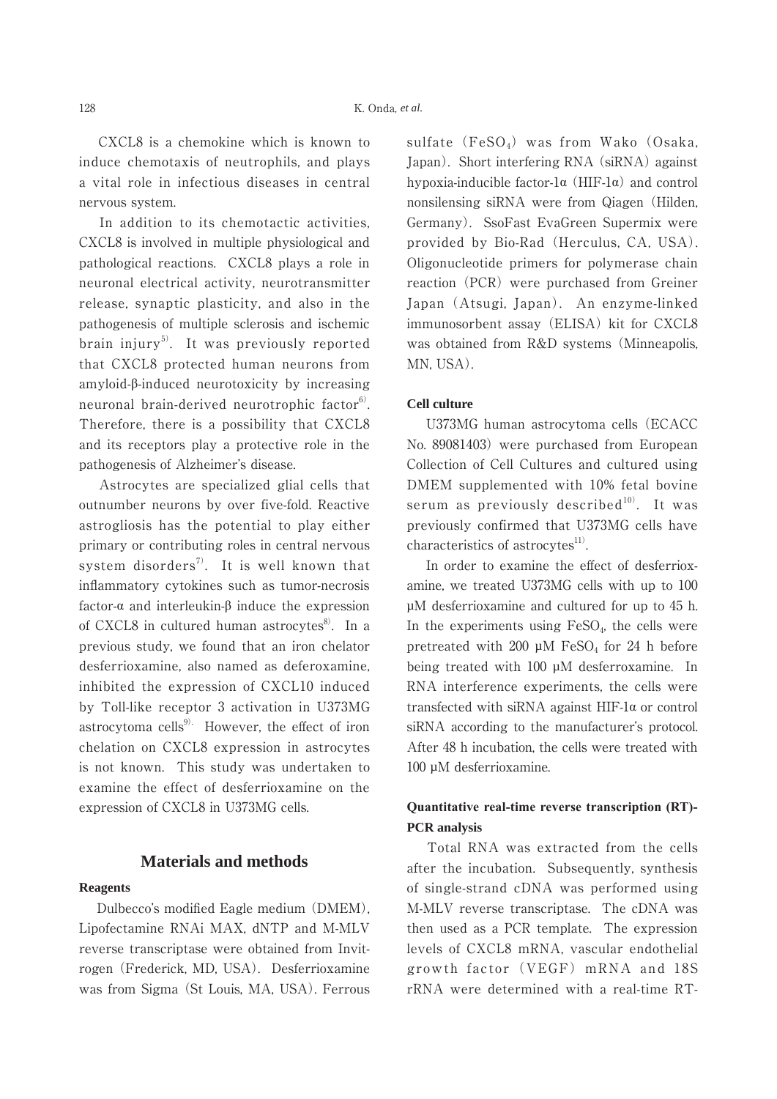CXCL8 is a chemokine which is known to induce chemotaxis of neutrophils, and plays a vital role in infectious diseases in central nervous system.

 In addition to its chemotactic activities, CXCL8 is involved in multiple physiological and pathological reactions. CXCL8 plays a role in neuronal electrical activity, neurotransmitter release, synaptic plasticity, and also in the pathogenesis of multiple sclerosis and ischemic brain injury<sup>5)</sup>. It was previously reported that CXCL8 protected human neurons from amyloid-β-induced neurotoxicity by increasing neuronal brain-derived neurotrophic factor $6$ . Therefore, there is a possibility that CXCL8 and its receptors play a protective role in the pathogenesis of Alzheimer's disease.

 Astrocytes are specialized glial cells that outnumber neurons by over five-fold. Reactive astrogliosis has the potential to play either primary or contributing roles in central nervous system disorders<sup>7)</sup>. It is well known that inflammatory cytokines such as tumor-necrosis factor-α and interleukin-β induce the expression of CXCL8 in cultured human astrocytes $8$ . In a previous study, we found that an iron chelator desferrioxamine, also named as deferoxamine, inhibited the expression of CXCL10 induced by Toll-like receptor 3 activation in U373MG astrocytoma cells $^{9)}$ . However, the effect of iron chelation on CXCL8 expression in astrocytes is not known. This study was undertaken to examine the effect of desferrioxamine on the expression of CXCL8 in U373MG cells.

#### **Materials and methods**

#### **Reagents**

 Dulbecco's modified Eagle medium (DMEM), Lipofectamine RNAi MAX, dNTP and M-MLV reverse transcriptase were obtained from Invitrogen (Frederick, MD, USA). Desferrioxamine was from Sigma (St Louis, MA, USA). Ferrous sulfate  $(FeSO_4)$  was from Wako (Osaka, Japan). Short interfering RNA (siRNA) against hypoxia-inducible factor-1α (HIF-1α) and control nonsilensing siRNA were from Qiagen (Hilden, Germany). SsoFast EvaGreen Supermix were provided by Bio-Rad (Herculus, CA, USA). Oligonucleotide primers for polymerase chain reaction (PCR) were purchased from Greiner Japan (Atsugi, Japan). An enzyme-linked immunosorbent assay (ELISA) kit for CXCL8 was obtained from R&D systems (Minneapolis, MN, USA).

#### **Cell culture**

 U373MG human astrocytoma cells (ECACC No. 89081403) were purchased from European Collection of Cell Cultures and cultured using DMEM supplemented with 10% fetal bovine serum as previously described $10$ . It was previously confirmed that U373MG cells have characteristics of astrocytes $^{11}$ .

 In order to examine the effect of desferrioxamine, we treated U373MG cells with up to 100 µM desferrioxamine and cultured for up to 45 h. In the experiments using  $FeSO<sub>4</sub>$ , the cells were pretreated with 200  $\mu$ M FeSO<sub>4</sub> for 24 h before being treated with 100 µM desferroxamine. In RNA interference experiments, the cells were transfected with siRNA against HIF-1α or control siRNA according to the manufacturer's protocol. After 48 h incubation, the cells were treated with 100 µM desferrioxamine.

## **Quantitative real-time reverse transcription (RT)- PCR analysis**

 Total RNA was extracted from the cells after the incubation. Subsequently, synthesis of single-strand cDNA was performed using M-MLV reverse transcriptase. The cDNA was then used as a PCR template. The expression levels of CXCL8 mRNA, vascular endothelial growth factor (VEGF) mRNA and 18S rRNA were determined with a real-time RT-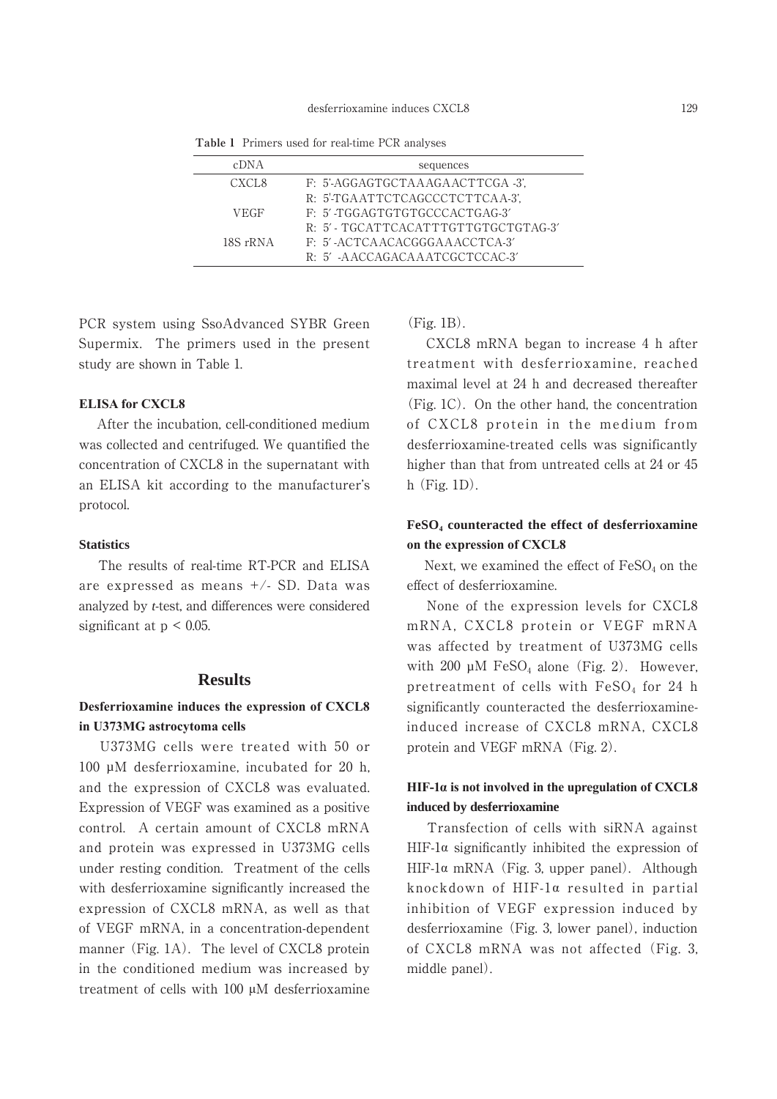| cDNA        | sequences                           |
|-------------|-------------------------------------|
| CXCL8       | F: 5'-AGGAGTGCTAAAGAACTTCGA -3'.    |
|             | R: 5'-TGAATTCTCAGCCCTCTTCAA-3',     |
| <b>VEGF</b> | F: 5'-TGGAGTGTGTGCCCACTGAG-3'       |
|             | R: 5'- TGCATTCACATTTGTTGTGCTGTAG-3' |
| 18S rRNA    | F: 5'-ACTCAACACGGGAAACCTCA-3'       |
|             | R: 5' -AACCAGACAAATCGCTCCAC-3'      |

**Table 1** Primers used for real-time PCR analyses

PCR system using SsoAdvanced SYBR Green Supermix. The primers used in the present study are shown in Table 1.

#### **ELISA for CXCL8**

 After the incubation, cell-conditioned medium was collected and centrifuged. We quantified the concentration of CXCL8 in the supernatant with an ELISA kit according to the manufacturer's protocol.

#### **Statistics**

 The results of real-time RT-PCR and ELISA are expressed as means +/- SD. Data was analyzed by *t*-test, and differences were considered significant at  $p < 0.05$ .

### **Results**

## **Desferrioxamine induces the expression of CXCL8 in U373MG astrocytoma cells**

 U373MG cells were treated with 50 or 100 µM desferrioxamine, incubated for 20 h, and the expression of CXCL8 was evaluated. Expression of VEGF was examined as a positive control. A certain amount of CXCL8 mRNA and protein was expressed in U373MG cells under resting condition. Treatment of the cells with desferrioxamine significantly increased the expression of CXCL8 mRNA, as well as that of VEGF mRNA, in a concentration-dependent manner (Fig. 1A). The level of CXCL8 protein in the conditioned medium was increased by treatment of cells with 100 μM desferrioxamine (Fig. 1B).

 CXCL8 mRNA began to increase 4 h after treatment with desferrioxamine, reached maximal level at 24 h and decreased thereafter (Fig. 1C). On the other hand, the concentration of CXCL8 protein in the medium from desferrioxamine-treated cells was significantly higher than that from untreated cells at 24 or 45 h (Fig. 1D).

## **FeSO4 counteracted the effect of desferrioxamine on the expression of CXCL8**

Next, we examined the effect of  $FeSO<sub>4</sub>$  on the effect of desferrioxamine.

 None of the expression levels for CXCL8 mRNA, CXCL8 protein or VEGF mRNA was affected by treatment of U373MG cells with 200  $\mu$ M FeSO<sub>4</sub> alone (Fig. 2). However, pretreatment of cells with  $FeSO<sub>4</sub>$  for 24 h significantly counteracted the desferrioxamineinduced increase of CXCL8 mRNA, CXCL8 protein and VEGF mRNA (Fig. 2).

## **HIF-1α is not involved in the upregulation of CXCL8 induced by desferrioxamine**

 Transfection of cells with siRNA against HIF-1 $\alpha$  significantly inhibited the expression of HIF-1 $\alpha$  mRNA (Fig. 3, upper panel). Although knockdown of HIF-1α resulted in partial inhibition of VEGF expression induced by desferrioxamine (Fig. 3, lower panel), induction of CXCL8 mRNA was not affected (Fig. 3, middle panel).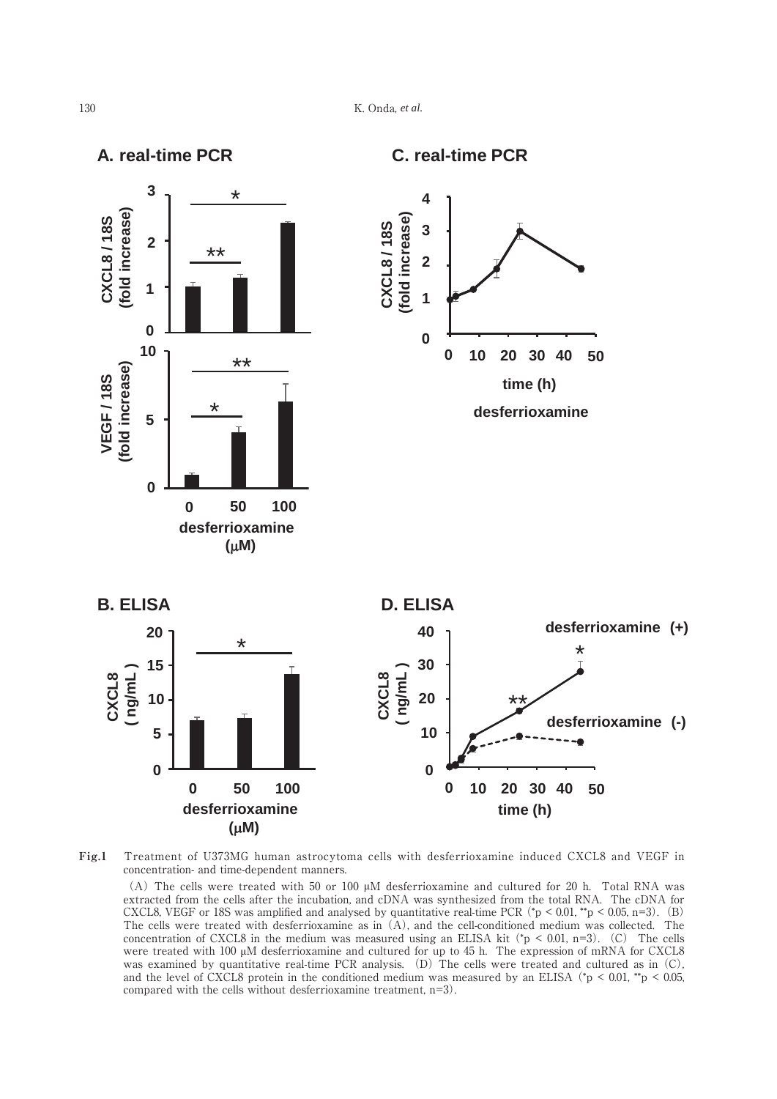

**Fig.1**  Treatment of U373MG human astrocytoma cells with desferrioxamine induced CXCL8 and VEGF in concentration- and time-dependent manners.

 (A) The cells were treated with 50 or 100 μM desferrioxamine and cultured for 20 h. Total RNA was extracted from the cells after the incubation, and cDNA was synthesized from the total RNA. The cDNA for CXCL8, VEGF or 18S was amplified and analysed by quantitative real-time PCR ( $*p < 0.01$ ,  $*p < 0.05$ , n=3). (B) The cells were treated with desferrioxamine as in (A), and the cell-conditioned medium was collected. The concentration of CXCL8 in the medium was measured using an ELISA kit ( $p < 0.01$ , n=3). (C) The cells were treated with 100 μM desferrioxamine and cultured for up to 45 h. The expression of mRNA for CXCL8 was examined by quantitative real-time PCR analysis. (D) The cells were treated and cultured as in (C), and the level of CXCL8 protein in the conditioned medium was measured by an ELISA ( $*p < 0.01$ ,  $*p < 0.05$ , compared with the cells without desferrioxamine treatment, n=3).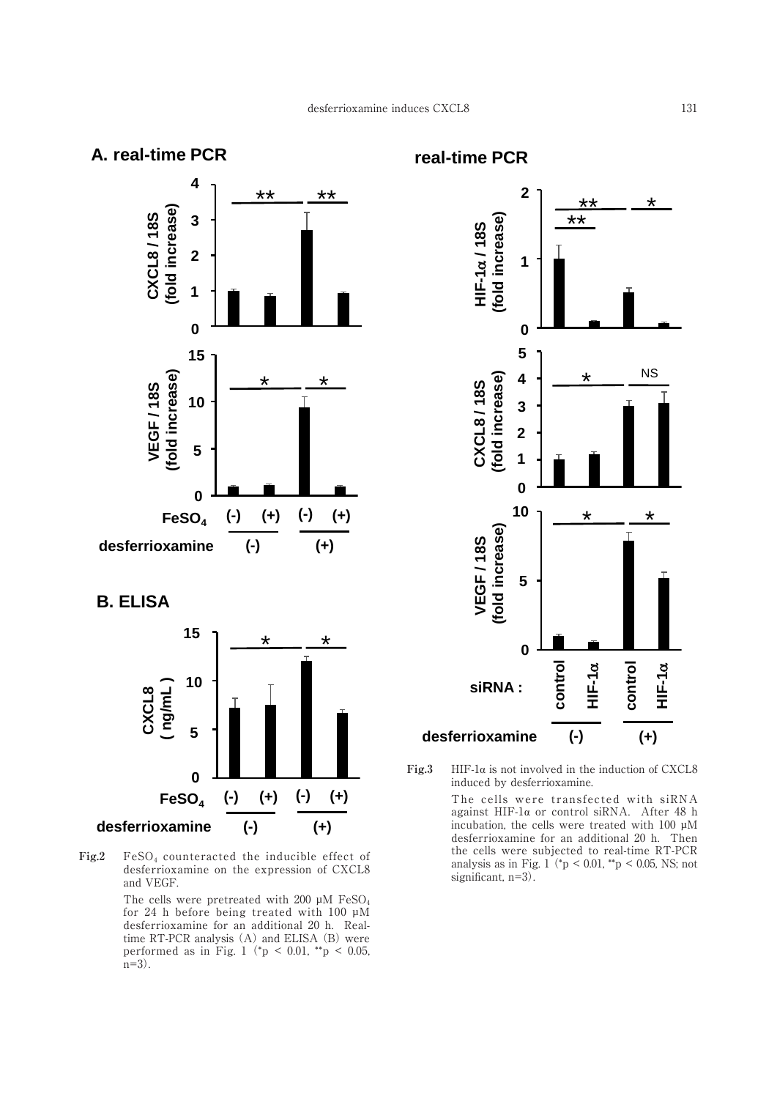## **A. real-time PCR**



**B. ELISA**



Fig.2 FeSO<sub>4</sub> counteracted the inducible effect of desferrioxamine on the expression of CXCL8 and VEGF.

The cells were pretreated with 200  $\mu$ M FeSO<sub>4</sub> for 24 h before being treated with 100 µM desferrioxamine for an additional 20 h. Realtime RT-PCR analysis (A) and ELISA (B) were performed as in Fig. 1 ( $^*p$  < 0.01,  $^*p$  < 0.05,  $n=3$ ).

**real-time PCR**



**Fig.3**  HIF-1α is not involved in the induction of CXCL8 induced by desferrioxamine.

The cells were transfected with siRNA against HIF-1α or control siRNA. After 48 h incubation, the cells were treated with  $100 \mu M$ desferrioxamine for an additional 20 h. Then the cells were subjected to real-time RT-PCR analysis as in Fig. 1 ( $\gamma$   $> 0.01$ ,  $\gamma$ <sup>\*</sup>p  $< 0.05$ , NS; not  $\text{significant, } n=3$ ).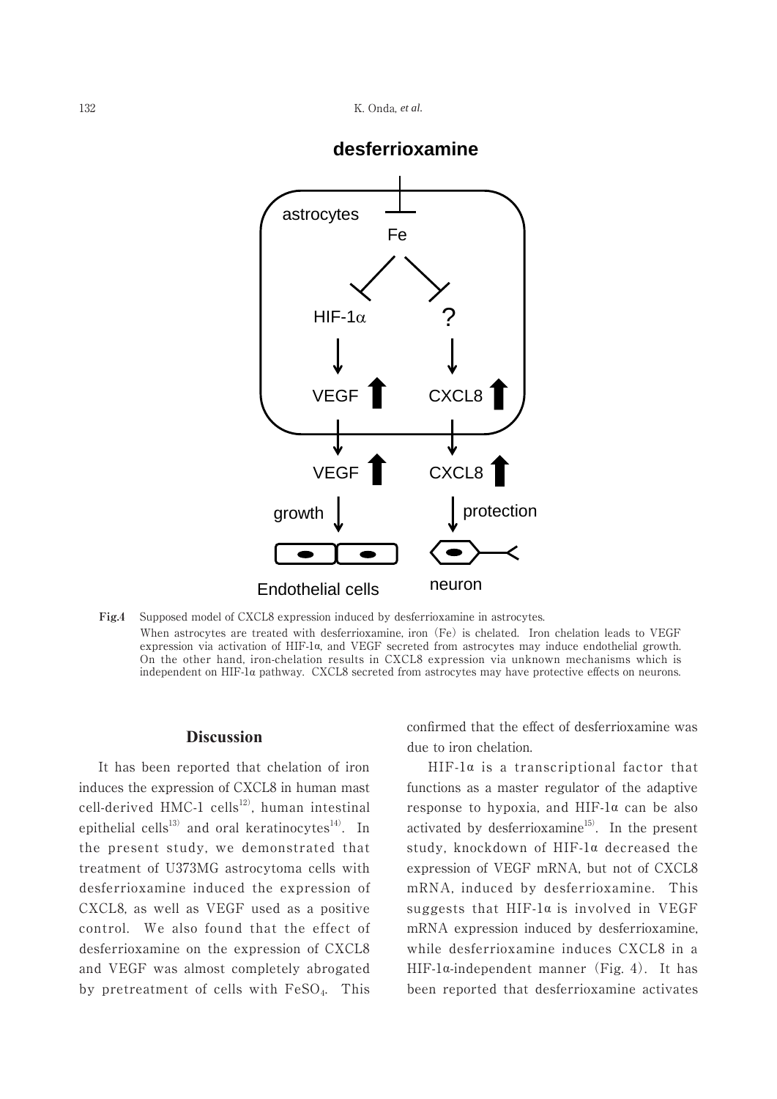

## **desferrioxamine**

**Fig.4**  Supposed model of CXCL8 expression induced by desferrioxamine in astrocytes. When astrocytes are treated with desferrioxamine, iron (Fe) is chelated. Iron chelation leads to VEGF expression via activation of HIF-1α, and VEGF secreted from astrocytes may induce endothelial growth. On the other hand, iron-chelation results in CXCL8 expression via unknown mechanisms which is independent on HIF-1α pathway. CXCL8 secreted from astrocytes may have protective effects on neurons.

#### **Discussion Figure 4. Onda et al.**

 It has been reported that chelation of iron induces the expression of CXCL8 in human mast cell-derived HMC-1 cells<sup>12)</sup>, human intestinal epithelial cells<sup>13)</sup> and oral keratinocytes<sup>14)</sup>. In the present study, we demonstrated that treatment of U373MG astrocytoma cells with desferrioxamine induced the expression of CXCL8, as well as VEGF used as a positive control. We also found that the effect of desferrioxamine on the expression of CXCL8 and VEGF was almost completely abrogated by pretreatment of cells with FeSO4. This

confirmed that the effect of desferrioxamine was due to iron chelation.

 HIF-1α is a transcriptional factor that functions as a master regulator of the adaptive response to hypoxia, and HIF-1α can be also activated by desferrioxamine<sup>15)</sup>. In the present study, knockdown of HIF-1α decreased the expression of VEGF mRNA, but not of CXCL8 mRNA, induced by desferrioxamine. This suggests that HIF-1α is involved in VEGF mRNA expression induced by desferrioxamine, while desferrioxamine induces CXCL8 in a HIF-1 $\alpha$ -independent manner (Fig. 4). It has been reported that desferrioxamine activates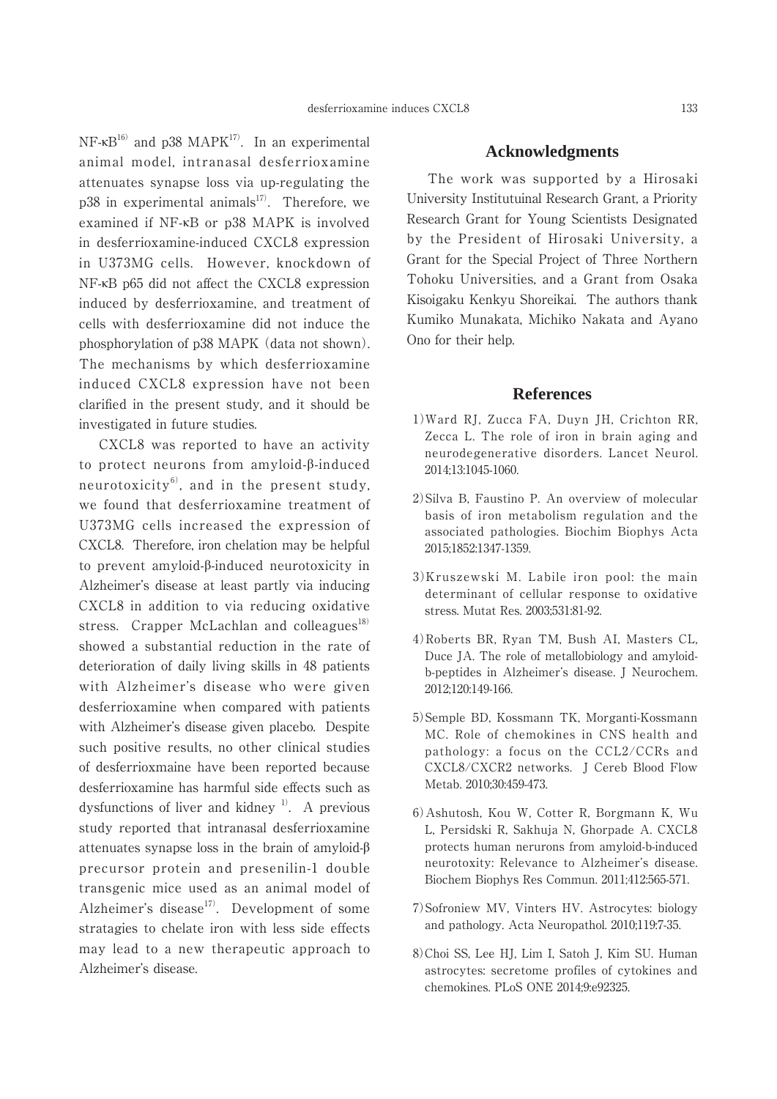NF- $\kappa$ B<sup>16)</sup> and p38 MAPK<sup>17)</sup>. In an experimental animal model, intranasal desferrioxamine attenuates synapse loss via up-regulating the p38 in experimental animals $17$ . Therefore, we examined if NF-κB or p38 MAPK is involved in desferrioxamine-induced CXCL8 expression in U373MG cells. However, knockdown of NF-κB p65 did not affect the CXCL8 expression induced by desferrioxamine, and treatment of cells with desferrioxamine did not induce the phosphorylation of p38 MAPK (data not shown). The mechanisms by which desferrioxamine induced CXCL8 expression have not been clarified in the present study, and it should be investigated in future studies.

 CXCL8 was reported to have an activity to protect neurons from amyloid-β-induced neurotoxicity $^{6)}$ , and in the present study, we found that desferrioxamine treatment of U373MG cells increased the expression of CXCL8. Therefore, iron chelation may be helpful to prevent amyloid-β-induced neurotoxicity in Alzheimer's disease at least partly via inducing CXCL8 in addition to via reducing oxidative stress. Crapper McLachlan and colleagues $^{18)}$ showed a substantial reduction in the rate of deterioration of daily living skills in 48 patients with Alzheimer's disease who were given desferrioxamine when compared with patients with Alzheimer's disease given placebo. Despite such positive results, no other clinical studies of desferrioxmaine have been reported because desferrioxamine has harmful side effects such as dysfunctions of liver and kidney  $\frac{1}{1}$ . A previous study reported that intranasal desferrioxamine attenuates synapse loss in the brain of amyloid-β precursor protein and presenilin-1 double transgenic mice used as an animal model of Alzheimer's disease $17$ <sup>7</sup>. Development of some stratagies to chelate iron with less side effects may lead to a new therapeutic approach to Alzheimer's disease.

#### **Acknowledgments**

 The work was supported by a Hirosaki University Institutuinal Research Grant, a Priority Research Grant for Young Scientists Designated by the President of Hirosaki University, a Grant for the Special Project of Three Northern Tohoku Universities, and a Grant from Osaka Kisoigaku Kenkyu Shoreikai. The authors thank Kumiko Munakata, Michiko Nakata and Ayano Ono for their help.

### **References**

- 1)Ward RJ, Zucca FA, Duyn JH, Crichton RR, Zecca L. The role of iron in brain aging and neurodegenerative disorders. Lancet Neurol. 2014;13:1045-1060.
- 2)Silva B, Faustino P. An overview of molecular basis of iron metabolism regulation and the associated pathologies. Biochim Biophys Acta 2015;1852:1347-1359.
- 3)Kruszewski M. Labile iron pool: the main determinant of cellular response to oxidative stress. Mutat Res. 2003;531:81-92.
- 4)Roberts BR, Ryan TM, Bush AI, Masters CL, Duce JA. The role of metallobiology and amyloidb-peptides in Alzheimer's disease. J Neurochem. 2012;120:149-166.
- 5)Semple BD, Kossmann TK, Morganti-Kossmann MC. Role of chemokines in CNS health and pathology: a focus on the CCL2/CCRs and CXCL8/CXCR2 networks. J Cereb Blood Flow Metab. 2010;30:459-473.
- 6)Ashutosh, Kou W, Cotter R, Borgmann K, Wu L, Persidski R, Sakhuja N, Ghorpade A. CXCL8 protects human nerurons from amyloid-b-induced neurotoxity: Relevance to Alzheimer's disease. Biochem Biophys Res Commun. 2011;412:565-571.
- 7)Sofroniew MV, Vinters HV. Astrocytes: biology and pathology. Acta Neuropathol. 2010;119:7-35.
- 8)Choi SS, Lee HJ, Lim I, Satoh J, Kim SU. Human astrocytes: secretome profiles of cytokines and chemokines. PLoS ONE 2014;9:e92325.